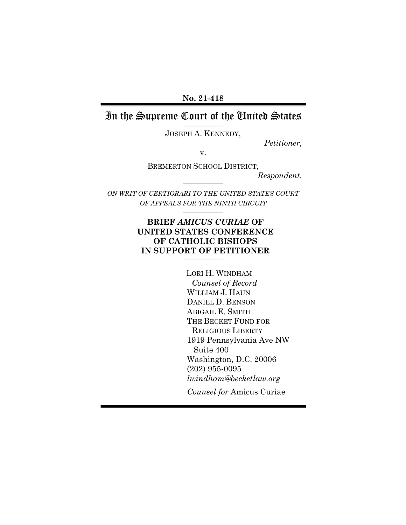**No. 21-418**

#### In the Supreme Court of the United States **\_\_\_\_\_\_\_\_\_\_**

JOSEPH A. KENNEDY,

*Petitioner,*

v.

BREMERTON SCHOOL DISTRICT,

**\_\_\_\_\_\_\_\_\_\_**

*Respondent.*

*ON WRIT OF CERTIORARI TO THE UNITED STATES COURT OF APPEALS FOR THE NINTH CIRCUIT* **\_\_\_\_\_\_\_\_\_\_**

# **BRIEF** *AMICUS CURIAE* **OF UNITED STATES CONFERENCE OF CATHOLIC BISHOPS IN SUPPORT OF PETITIONER**

LORI H. WINDHAM *Counsel of Record* WILLIAM J. HAUN DANIEL D. BENSON ABIGAIL E. SMITH THE BECKET FUND FOR RELIGIOUS LIBERTY 1919 Pennsylvania Ave NW Suite 400 Washington, D.C. 20006 (202) 955-0095 *lwindham@becketlaw.org*

*Counsel for* Amicus Curiae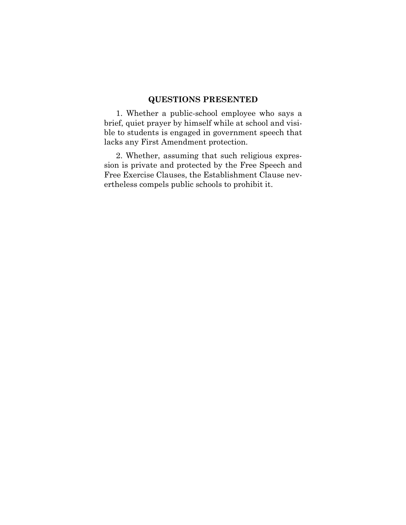# **QUESTIONS PRESENTED**

1. Whether a public-school employee who says a brief, quiet prayer by himself while at school and visible to students is engaged in government speech that lacks any First Amendment protection.

2. Whether, assuming that such religious expression is private and protected by the Free Speech and Free Exercise Clauses, the Establishment Clause nevertheless compels public schools to prohibit it.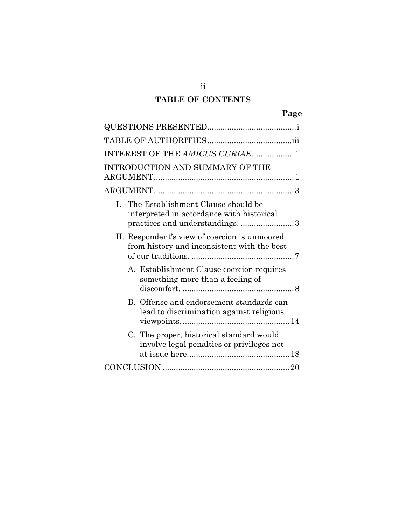# **TABLE OF CONTENTS**

| INTEREST OF THE AMICUS CURIAE1                                                                                                   |
|----------------------------------------------------------------------------------------------------------------------------------|
| INTRODUCTION AND SUMMARY OF THE                                                                                                  |
|                                                                                                                                  |
| The Establishment Clause should be<br>$\mathbf{L}$<br>interpreted in accordance with historical<br>practices and understandings3 |
| II. Respondent's view of coercion is unmoored<br>from history and inconsistent with the best                                     |
| A. Establishment Clause coercion requires<br>something more than a feeling of                                                    |
| B. Offense and endorsement standards can<br>lead to discrimination against religious                                             |
| C. The proper, historical standard would<br>involve legal penalties or privileges not                                            |
|                                                                                                                                  |

ii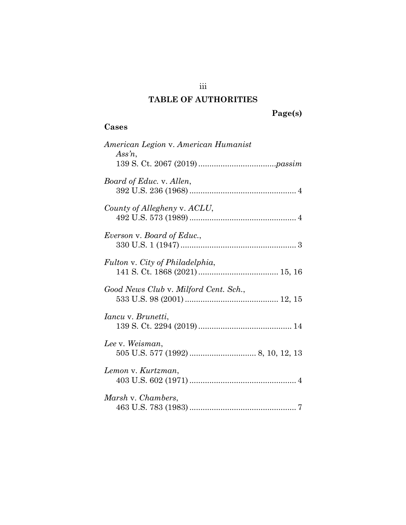# **TABLE OF AUTHORITIES**

# **Page(s)**

# **Cases**

| American Legion v. American Humanist<br>Assn, |
|-----------------------------------------------|
| Board of Educ. v. Allen,                      |
| County of Allegheny v. ACLU,                  |
| Everson v. Board of Educ.,                    |
| Fulton v. City of Philadelphia,               |
| Good News Club v. Milford Cent. Sch.,         |
| <i>Iancu</i> v. <i>Brunetti</i> ,             |
| Lee v. Weisman,                               |
| Lemon v. Kurtzman,                            |
| Marsh v. Chambers,                            |

iii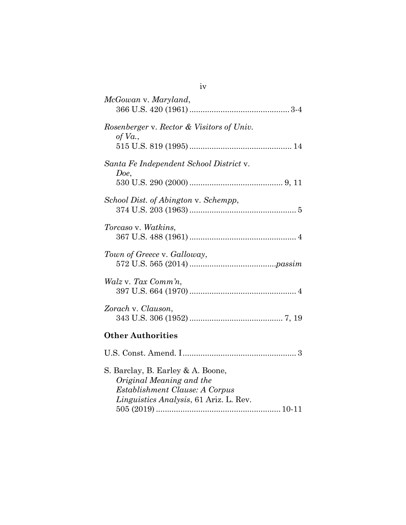| McGowan v. Maryland,                                                                                                                      |
|-------------------------------------------------------------------------------------------------------------------------------------------|
| Rosenberger v. Rector & Visitors of Univ.<br>of $Va$ .,                                                                                   |
| Santa Fe Independent School District v.<br>Doe,                                                                                           |
| School Dist. of Abington v. Schempp,                                                                                                      |
| Torcaso v. Watkins,                                                                                                                       |
| Town of Greece v. Galloway,                                                                                                               |
| Walz v. Tax Comm'n,                                                                                                                       |
| Zorach v. Clauson,                                                                                                                        |
| <b>Other Authorities</b>                                                                                                                  |
|                                                                                                                                           |
| S. Barclay, B. Earley & A. Boone,<br>Original Meaning and the<br>Establishment Clause: A Corpus<br>Linguistics Analysis, 61 Ariz. L. Rev. |

iv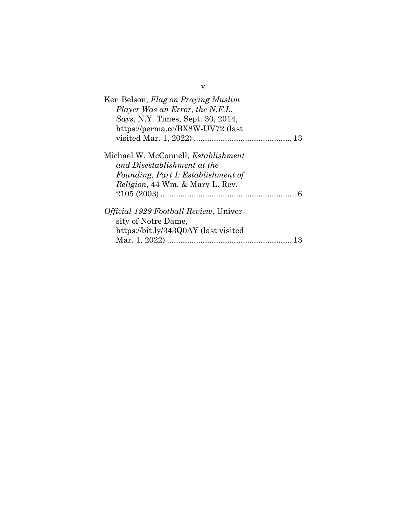| Ken Belson, Flag on Praying Muslim<br>Player Was an Error, the N.F.L.<br>Says, N.Y. Times, Sept. 30, 2014,<br>https://perma.cc/BX8W-UV72 (last             |
|------------------------------------------------------------------------------------------------------------------------------------------------------------|
| Michael W. McConnell, <i>Establishment</i><br>and Disestablishment at the<br>Founding, Part I: Establishment of<br><i>Religion</i> , 44 Wm. & Mary L. Rev. |
| <i>Official 1929 Football Review</i> , Univer-<br>sity of Notre Dame,<br>https://bit.ly/343Q0AY (last visited<br>Mar. 1, 2022)                             |

v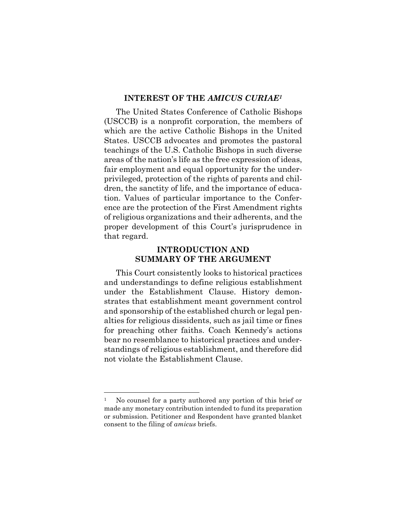#### **INTEREST OF THE** *AMICUS CURIAE<sup>1</sup>*

The United States Conference of Catholic Bishops (USCCB) is a nonprofit corporation, the members of which are the active Catholic Bishops in the United States. USCCB advocates and promotes the pastoral teachings of the U.S. Catholic Bishops in such diverse areas of the nation's life as the free expression of ideas, fair employment and equal opportunity for the underprivileged, protection of the rights of parents and children, the sanctity of life, and the importance of education. Values of particular importance to the Conference are the protection of the First Amendment rights of religious organizations and their adherents, and the proper development of this Court's jurisprudence in that regard.

#### **INTRODUCTION AND SUMMARY OF THE ARGUMENT**

This Court consistently looks to historical practices and understandings to define religious establishment under the Establishment Clause. History demonstrates that establishment meant government control and sponsorship of the established church or legal penalties for religious dissidents, such as jail time or fines for preaching other faiths. Coach Kennedy's actions bear no resemblance to historical practices and understandings of religious establishment, and therefore did not violate the Establishment Clause.

<sup>&</sup>lt;sup>1</sup> No counsel for a party authored any portion of this brief or made any monetary contribution intended to fund its preparation or submission. Petitioner and Respondent have granted blanket consent to the filing of *amicus* briefs.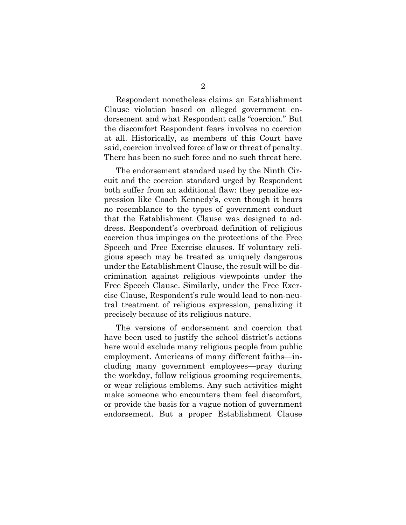Respondent nonetheless claims an Establishment Clause violation based on alleged government endorsement and what Respondent calls "coercion." But the discomfort Respondent fears involves no coercion at all. Historically, as members of this Court have said, coercion involved force of law or threat of penalty. There has been no such force and no such threat here.

The endorsement standard used by the Ninth Circuit and the coercion standard urged by Respondent both suffer from an additional flaw: they penalize expression like Coach Kennedy's, even though it bears no resemblance to the types of government conduct that the Establishment Clause was designed to address. Respondent's overbroad definition of religious coercion thus impinges on the protections of the Free Speech and Free Exercise clauses. If voluntary religious speech may be treated as uniquely dangerous under the Establishment Clause, the result will be discrimination against religious viewpoints under the Free Speech Clause. Similarly, under the Free Exercise Clause, Respondent's rule would lead to non-neutral treatment of religious expression, penalizing it precisely because of its religious nature.

The versions of endorsement and coercion that have been used to justify the school district's actions here would exclude many religious people from public employment. Americans of many different faiths—including many government employees—pray during the workday, follow religious grooming requirements, or wear religious emblems. Any such activities might make someone who encounters them feel discomfort, or provide the basis for a vague notion of government endorsement. But a proper Establishment Clause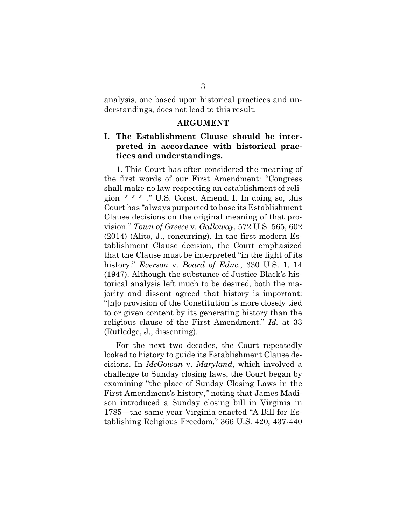analysis, one based upon historical practices and understandings, does not lead to this result.

#### **ARGUMENT**

## **I. The Establishment Clause should be interpreted in accordance with historical practices and understandings.**

1. This Court has often considered the meaning of the first words of our First Amendment: "Congress shall make no law respecting an establishment of religion  $* * *$  ." U.S. Const. Amend. I. In doing so, this Court has "always purported to base its Establishment Clause decisions on the original meaning of that provision." *Town of Greece* v. *Galloway*, 572 U.S. 565, 602 (2014) (Alito, J., concurring). In the first modern Establishment Clause decision, the Court emphasized that the Clause must be interpreted "in the light of its history." *Everson* v. *Board of Educ.*, 330 U.S. 1, 14 (1947). Although the substance of Justice Black's historical analysis left much to be desired, both the majority and dissent agreed that history is important: "[n]o provision of the Constitution is more closely tied to or given content by its generating history than the religious clause of the First Amendment." *Id.* at 33 (Rutledge, J., dissenting).

For the next two decades, the Court repeatedly looked to history to guide its Establishment Clause decisions. In *McGowan* v. *Maryland*, which involved a challenge to Sunday closing laws, the Court began by examining "the place of Sunday Closing Laws in the First Amendment's history,*"* noting that James Madison introduced a Sunday closing bill in Virginia in 1785—the same year Virginia enacted "A Bill for Establishing Religious Freedom." 366 U.S. 420, 437-440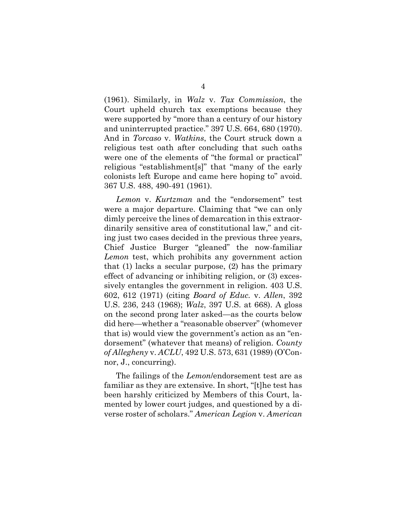(1961). Similarly, in *Walz* v. *Tax Commission*, the Court upheld church tax exemptions because they were supported by "more than a century of our history and uninterrupted practice." 397 U.S. 664, 680 (1970). And in *Torcaso* v. *Watkins*, the Court struck down a religious test oath after concluding that such oaths were one of the elements of "the formal or practical" religious "establishment[s]" that "many of the early colonists left Europe and came here hoping to" avoid. 367 U.S. 488, 490-491 (1961).

*Lemon* v. *Kurtzman* and the "endorsement" test were a major departure. Claiming that "we can only dimly perceive the lines of demarcation in this extraordinarily sensitive area of constitutional law," and citing just two cases decided in the previous three years, Chief Justice Burger "gleaned" the now-familiar *Lemon* test, which prohibits any government action that (1) lacks a secular purpose, (2) has the primary effect of advancing or inhibiting religion, or (3) excessively entangles the government in religion. 403 U.S. 602, 612 (1971) (citing *Board of Educ.* v. *Allen*, 392 U.S. 236, 243 (1968); *Walz*, 397 U.S. at 668). A gloss on the second prong later asked—as the courts below did here—whether a "reasonable observer" (whomever that is) would view the government's action as an "endorsement" (whatever that means) of religion. *County of Allegheny* v. *ACLU*, 492 U.S. 573, 631 (1989) (O'Connor, J., concurring).

The failings of the *Lemon*/endorsement test are as familiar as they are extensive. In short, "[t]he test has been harshly criticized by Members of this Court, lamented by lower court judges, and questioned by a diverse roster of scholars." *American Legion* v. *American*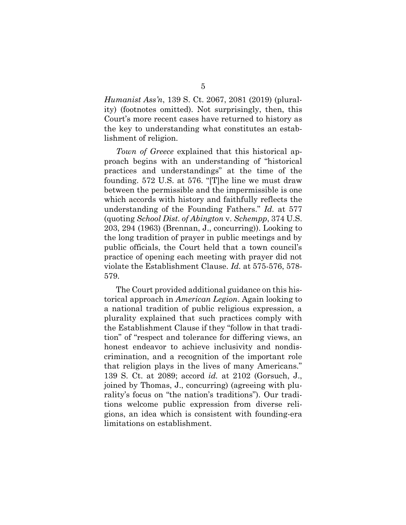*Humanist Ass'n*, 139 S. Ct. 2067, 2081 (2019) (plurality) (footnotes omitted). Not surprisingly, then, this Court's more recent cases have returned to history as the key to understanding what constitutes an establishment of religion.

*Town of Greece* explained that this historical approach begins with an understanding of "historical practices and understandings" at the time of the founding. 572 U.S. at 576. "[T]he line we must draw between the permissible and the impermissible is one which accords with history and faithfully reflects the understanding of the Founding Fathers." *Id.* at 577 (quoting *School Dist. of Abington* v. *Schempp*, 374 U.S. 203, 294 (1963) (Brennan, J., concurring)). Looking to the long tradition of prayer in public meetings and by public officials, the Court held that a town council's practice of opening each meeting with prayer did not violate the Establishment Clause. *Id.* at 575-576, 578- 579.

The Court provided additional guidance on this historical approach in *American Legion*. Again looking to a national tradition of public religious expression, a plurality explained that such practices comply with the Establishment Clause if they "follow in that tradition" of "respect and tolerance for differing views, an honest endeavor to achieve inclusivity and nondiscrimination, and a recognition of the important role that religion plays in the lives of many Americans." 139 S. Ct. at 2089; accord *id.* at 2102 (Gorsuch, J., joined by Thomas, J., concurring) (agreeing with plurality's focus on "the nation's traditions"). Our traditions welcome public expression from diverse religions, an idea which is consistent with founding-era limitations on establishment.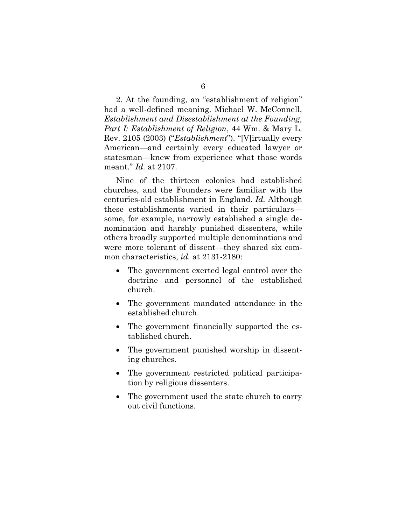2. At the founding, an "establishment of religion" had a well-defined meaning. Michael W. McConnell, *Establishment and Disestablishment at the Founding, Part I: Establishment of Religion*, 44 Wm. & Mary L. Rev. 2105 (2003) ("*Establishment*"). "[V]irtually every American—and certainly every educated lawyer or statesman—knew from experience what those words meant." *Id.* at 2107.

Nine of the thirteen colonies had established churches, and the Founders were familiar with the centuries-old establishment in England. *Id.* Although these establishments varied in their particulars some, for example, narrowly established a single denomination and harshly punished dissenters, while others broadly supported multiple denominations and were more tolerant of dissent—they shared six common characteristics, *id.* at 2131-2180:

- The government exerted legal control over the doctrine and personnel of the established church.
- The government mandated attendance in the established church.
- The government financially supported the established church.
- The government punished worship in dissenting churches.
- The government restricted political participation by religious dissenters.
- The government used the state church to carry out civil functions.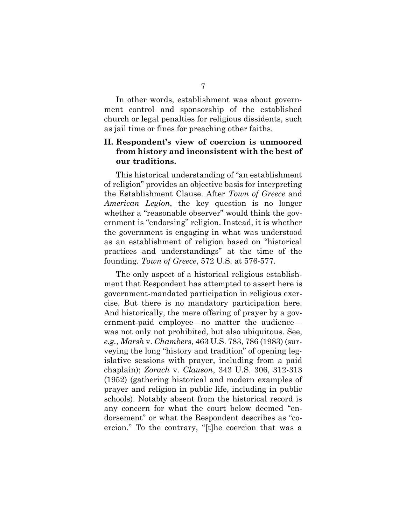In other words, establishment was about government control and sponsorship of the established church or legal penalties for religious dissidents, such as jail time or fines for preaching other faiths.

## **II. Respondent's view of coercion is unmoored from history and inconsistent with the best of our traditions.**

This historical understanding of "an establishment of religion" provides an objective basis for interpreting the Establishment Clause. After *Town of Greece* and *American Legion*, the key question is no longer whether a "reasonable observer" would think the government is "endorsing" religion. Instead, it is whether the government is engaging in what was understood as an establishment of religion based on "historical practices and understandings" at the time of the founding. *Town of Greece*, 572 U.S. at 576-577.

The only aspect of a historical religious establishment that Respondent has attempted to assert here is government-mandated participation in religious exercise. But there is no mandatory participation here. And historically, the mere offering of prayer by a government-paid employee—no matter the audience was not only not prohibited, but also ubiquitous. See, *e.g.*, *Marsh* v. *Chambers*, 463 U.S. 783, 786 (1983) (surveying the long "history and tradition" of opening legislative sessions with prayer, including from a paid chaplain); *Zorach* v. *Clauson*, 343 U.S. 306, 312-313 (1952) (gathering historical and modern examples of prayer and religion in public life, including in public schools). Notably absent from the historical record is any concern for what the court below deemed "endorsement" or what the Respondent describes as "coercion." To the contrary, "[t]he coercion that was a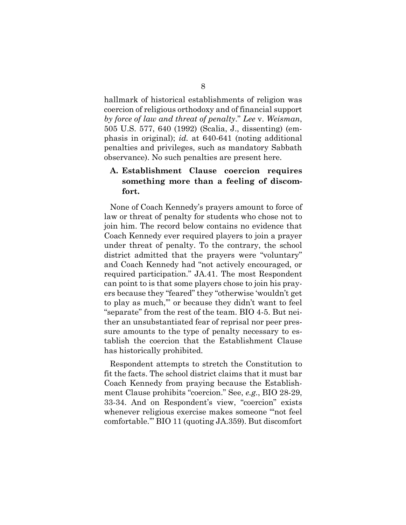hallmark of historical establishments of religion was coercion of religious orthodoxy and of financial support *by force of law and threat of penalty*." *Lee* v. *Weisman*, 505 U.S. 577, 640 (1992) (Scalia, J., dissenting) (emphasis in original); *id.* at 640-641 (noting additional penalties and privileges, such as mandatory Sabbath observance). No such penalties are present here.

# **A. Establishment Clause coercion requires something more than a feeling of discomfort.**

None of Coach Kennedy's prayers amount to force of law or threat of penalty for students who chose not to join him. The record below contains no evidence that Coach Kennedy ever required players to join a prayer under threat of penalty. To the contrary, the school district admitted that the prayers were "voluntary" and Coach Kennedy had "not actively encouraged, or required participation." JA.41. The most Respondent can point to is that some players chose to join his prayers because they "feared" they "otherwise 'wouldn't get to play as much,'" or because they didn't want to feel "separate" from the rest of the team. BIO 4-5. But neither an unsubstantiated fear of reprisal nor peer pressure amounts to the type of penalty necessary to establish the coercion that the Establishment Clause has historically prohibited.

Respondent attempts to stretch the Constitution to fit the facts. The school district claims that it must bar Coach Kennedy from praying because the Establishment Clause prohibits "coercion." See, *e.g.*, BIO 28-29, 33-34. And on Respondent's view, "coercion" exists whenever religious exercise makes someone "'not feel comfortable.'" BIO 11 (quoting JA.359). But discomfort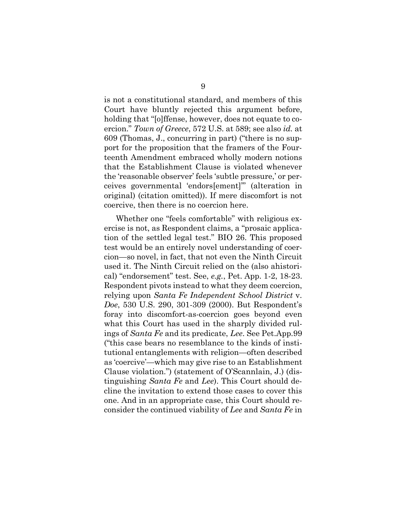is not a constitutional standard, and members of this Court have bluntly rejected this argument before, holding that "[o]ffense, however, does not equate to coercion." *Town of Greece*, 572 U.S. at 589; see also *id.* at 609 (Thomas, J., concurring in part) ("there is no support for the proposition that the framers of the Fourteenth Amendment embraced wholly modern notions that the Establishment Clause is violated whenever the 'reasonable observer' feels 'subtle pressure,' or perceives governmental 'endors[ement]'" (alteration in original) (citation omitted)). If mere discomfort is not coercive, then there is no coercion here.

Whether one "feels comfortable" with religious exercise is not, as Respondent claims, a "prosaic application of the settled legal test." BIO 26. This proposed test would be an entirely novel understanding of coercion—so novel, in fact, that not even the Ninth Circuit used it. The Ninth Circuit relied on the (also ahistorical) "endorsement" test. See, *e.g.*, Pet. App. 1-2, 18-23. Respondent pivots instead to what they deem coercion, relying upon *Santa Fe Independent School District* v. *Doe*, 530 U.S. 290, 301-309 (2000). But Respondent's foray into discomfort-as-coercion goes beyond even what this Court has used in the sharply divided rulings of *Santa Fe* and its predicate, *Lee*. See Pet.App.99 ("this case bears no resemblance to the kinds of institutional entanglements with religion—often described as 'coercive'—which may give rise to an Establishment Clause violation.") (statement of O'Scannlain, J.) (distinguishing *Santa Fe* and *Lee*). This Court should decline the invitation to extend those cases to cover this one. And in an appropriate case, this Court should reconsider the continued viability of *Lee* and *Santa Fe* in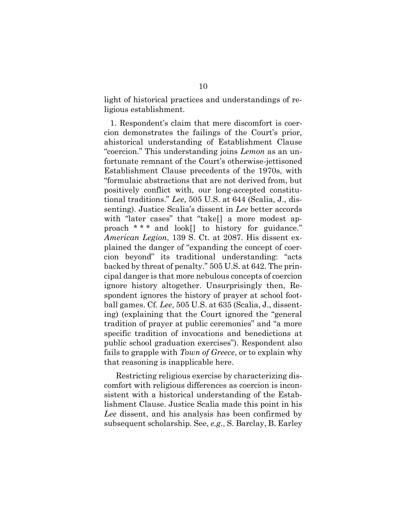light of historical practices and understandings of religious establishment.

1. Respondent's claim that mere discomfort is coercion demonstrates the failings of the Court's prior, ahistorical understanding of Establishment Clause "coercion." This understanding joins *Lemon* as an unfortunate remnant of the Court's otherwise-jettisoned Establishment Clause precedents of the 1970s, with "formulaic abstractions that are not derived from, but positively conflict with, our long-accepted constitutional traditions." *Lee*, 505 U.S. at 644 (Scalia, J., dissenting). Justice Scalia's dissent in *Lee* better accords with "later cases" that "take[] a more modest approach \* \* \* and look[] to history for guidance." *American Legion*, 139 S. Ct. at 2087. His dissent explained the danger of "expanding the concept of coercion beyond" its traditional understanding: "acts backed by threat of penalty." 505 U.S. at 642. The principal danger is that more nebulous concepts of coercion ignore history altogether. Unsurprisingly then, Respondent ignores the history of prayer at school football games. Cf. *Lee*, 505 U.S. at 635 (Scalia, J., dissenting) (explaining that the Court ignored the "general tradition of prayer at public ceremonies" and "a more specific tradition of invocations and benedictions at public school graduation exercises"). Respondent also fails to grapple with *Town of Greece*, or to explain why that reasoning is inapplicable here.

Restricting religious exercise by characterizing discomfort with religious differences as coercion is inconsistent with a historical understanding of the Establishment Clause. Justice Scalia made this point in his *Lee* dissent, and his analysis has been confirmed by subsequent scholarship. See, *e.g.*, S. Barclay, B. Earley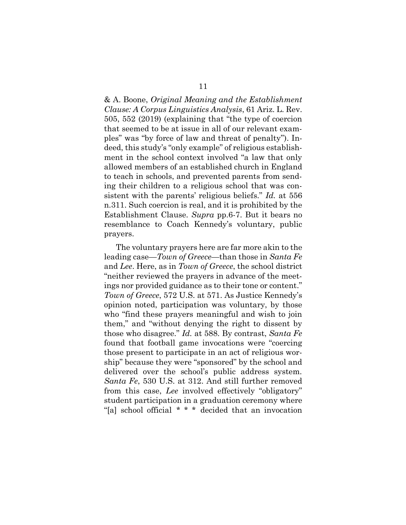& A. Boone, *Original Meaning and the Establishment Clause: A Corpus Linguistics Analysis*, 61 Ariz. L. Rev. 505, 552 (2019) (explaining that "the type of coercion that seemed to be at issue in all of our relevant examples" was "by force of law and threat of penalty"). Indeed, this study's "only example" of religious establishment in the school context involved "a law that only allowed members of an established church in England to teach in schools, and prevented parents from sending their children to a religious school that was consistent with the parents' religious beliefs." *Id.* at 556 n.311. Such coercion is real, and it is prohibited by the Establishment Clause. *Supra* pp.6-7. But it bears no resemblance to Coach Kennedy's voluntary, public prayers.

The voluntary prayers here are far more akin to the leading case—*Town of Greece*—than those in *Santa Fe* and *Lee*. Here, as in *Town of Greece*, the school district "neither reviewed the prayers in advance of the meetings nor provided guidance as to their tone or content." *Town of Greece*, 572 U.S. at 571. As Justice Kennedy's opinion noted, participation was voluntary, by those who "find these prayers meaningful and wish to join them," and "without denying the right to dissent by those who disagree." *Id.* at 588. By contrast, *Santa Fe* found that football game invocations were "coercing those present to participate in an act of religious worship" because they were "sponsored" by the school and delivered over the school's public address system. *Santa Fe*, 530 U.S. at 312. And still further removed from this case, *Lee* involved effectively "obligatory" student participation in a graduation ceremony where "[a] school official \* \* \* decided that an invocation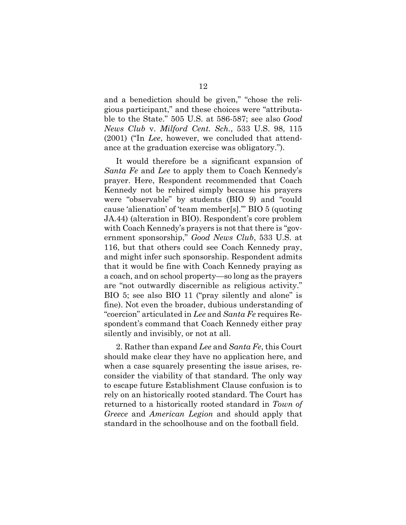and a benediction should be given," "chose the religious participant," and these choices were "attributable to the State." 505 U.S. at 586-587; see also *Good News Club* v. *Milford Cent. Sch.*, 533 U.S. 98, 115 (2001) ("In *Lee*, however, we concluded that attendance at the graduation exercise was obligatory.").

It would therefore be a significant expansion of *Santa Fe* and *Lee* to apply them to Coach Kennedy's prayer. Here, Respondent recommended that Coach Kennedy not be rehired simply because his prayers were "observable" by students (BIO 9) and "could cause 'alienation' of 'team member[s].'" BIO 5 (quoting JA.44) (alteration in BIO). Respondent's core problem with Coach Kennedy's prayers is not that there is "government sponsorship," *Good News Club*, 533 U.S. at 116, but that others could see Coach Kennedy pray, and might infer such sponsorship. Respondent admits that it would be fine with Coach Kennedy praying as a coach, and on school property—so long as the prayers are "not outwardly discernible as religious activity." BIO 5; see also BIO 11 ("pray silently and alone" is fine). Not even the broader, dubious understanding of "coercion" articulated in *Lee* and *Santa Fe* requires Respondent's command that Coach Kennedy either pray silently and invisibly, or not at all.

2. Rather than expand *Lee* and *Santa Fe*, this Court should make clear they have no application here, and when a case squarely presenting the issue arises, reconsider the viability of that standard. The only way to escape future Establishment Clause confusion is to rely on an historically rooted standard. The Court has returned to a historically rooted standard in *Town of Greece* and *American Legion* and should apply that standard in the schoolhouse and on the football field.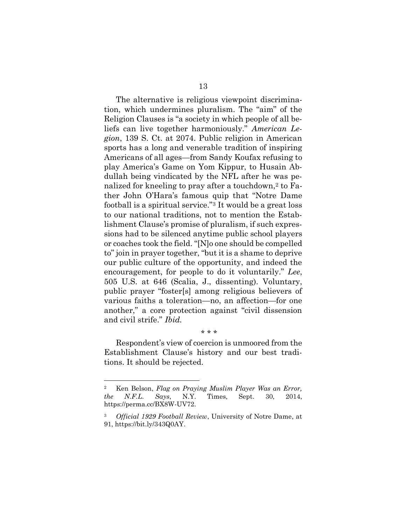The alternative is religious viewpoint discrimination, which undermines pluralism. The "aim" of the Religion Clauses is "a society in which people of all beliefs can live together harmoniously." *American Legion*, 139 S. Ct. at 2074. Public religion in American sports has a long and venerable tradition of inspiring Americans of all ages—from Sandy Koufax refusing to play America's Game on Yom Kippur, to Husain Abdullah being vindicated by the NFL after he was penalized for kneeling to pray after a touchdown,<sup>2</sup> to Father John O'Hara's famous quip that "Notre Dame football is a spiritual service."<sup>3</sup> It would be a great loss to our national traditions, not to mention the Establishment Clause's promise of pluralism, if such expressions had to be silenced anytime public school players or coaches took the field. "[N]o one should be compelled to" join in prayer together, "but it is a shame to deprive our public culture of the opportunity, and indeed the encouragement, for people to do it voluntarily." *Lee*, 505 U.S. at 646 (Scalia, J., dissenting). Voluntary, public prayer "foster[s] among religious believers of various faiths a toleration—no, an affection—for one another," a core protection against "civil dissension and civil strife." *Ibid.*

Respondent's view of coercion is unmoored from the Establishment Clause's history and our best traditions. It should be rejected.

\* \* \*

<sup>2</sup> Ken Belson, *Flag on Praying Muslim Player Was an Error, the N.F.L. Says*, N.Y. Times, Sept. 30, 2014, [https://perma.cc/BX8W-UV72.](https://perma.cc/BX8W-UV72)

<sup>3</sup> *[Official 1929 Football Review](Official%201929%20Football%20Review,%20University%20of%20Notre%20Dame)*[, University of Notre Dame,](Official%201929%20Football%20Review,%20University%20of%20Notre%20Dame) at 91, [https://bit.ly/343Q0AY.](https://bit.ly/343Q0AY)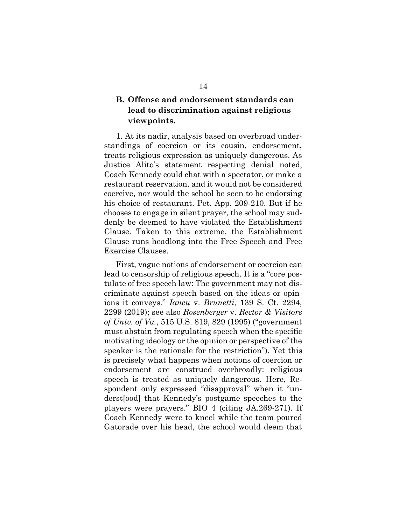# **B. Offense and endorsement standards can lead to discrimination against religious viewpoints.**

1. At its nadir, analysis based on overbroad understandings of coercion or its cousin, endorsement, treats religious expression as uniquely dangerous. As Justice Alito's statement respecting denial noted, Coach Kennedy could chat with a spectator, or make a restaurant reservation, and it would not be considered coercive, nor would the school be seen to be endorsing his choice of restaurant. Pet. App. 209-210. But if he chooses to engage in silent prayer, the school may suddenly be deemed to have violated the Establishment Clause. Taken to this extreme, the Establishment Clause runs headlong into the Free Speech and Free Exercise Clauses.

First, vague notions of endorsement or coercion can lead to censorship of religious speech. It is a "core postulate of free speech law: The government may not discriminate against speech based on the ideas or opinions it conveys." *Iancu* v. *Brunetti*, 139 S. Ct. 2294, 2299 (2019); see also *Rosenberger* v. *Rector & Visitors of Univ. of Va.*, 515 U.S. 819, 829 (1995) ("government must abstain from regulating speech when the specific motivating ideology or the opinion or perspective of the speaker is the rationale for the restriction"). Yet this is precisely what happens when notions of coercion or endorsement are construed overbroadly: religious speech is treated as uniquely dangerous. Here, Respondent only expressed "disapproval" when it "underst[ood] that Kennedy's postgame speeches to the players were prayers." BIO 4 (citing JA.269-271). If Coach Kennedy were to kneel while the team poured Gatorade over his head, the school would deem that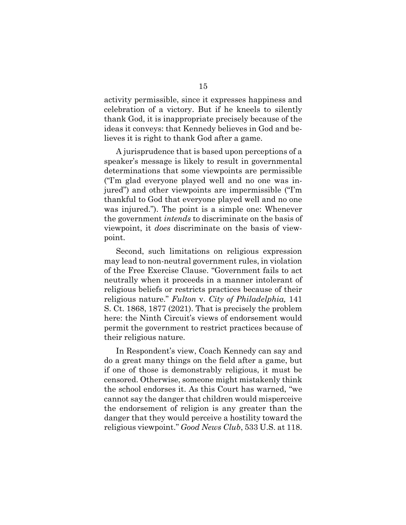activity permissible, since it expresses happiness and celebration of a victory. But if he kneels to silently thank God, it is inappropriate precisely because of the ideas it conveys: that Kennedy believes in God and believes it is right to thank God after a game.

A jurisprudence that is based upon perceptions of a speaker's message is likely to result in governmental determinations that some viewpoints are permissible ("I'm glad everyone played well and no one was injured") and other viewpoints are impermissible ("I'm thankful to God that everyone played well and no one was injured."). The point is a simple one: Whenever the government *intends* to discriminate on the basis of viewpoint, it *does* discriminate on the basis of viewpoint.

Second, such limitations on religious expression may lead to non-neutral government rules, in violation of the Free Exercise Clause. "Government fails to act neutrally when it proceeds in a manner intolerant of religious beliefs or restricts practices because of their religious nature." *Fulton* v. *City of Philadelphia,* 141 S. Ct. 1868, 1877 (2021). That is precisely the problem here: the Ninth Circuit's views of endorsement would permit the government to restrict practices because of their religious nature.

In Respondent's view, Coach Kennedy can say and do a great many things on the field after a game, but if one of those is demonstrably religious, it must be censored. Otherwise, someone might mistakenly think the school endorses it. As this Court has warned, "we cannot say the danger that children would misperceive the endorsement of religion is any greater than the danger that they would perceive a hostility toward the religious viewpoint." *Good News Club*, 533 U.S. at 118.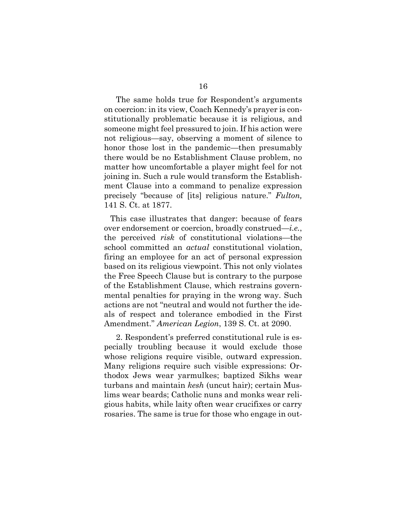The same holds true for Respondent's arguments on coercion: in its view, Coach Kennedy's prayer is constitutionally problematic because it is religious, and someone might feel pressured to join. If his action were not religious—say, observing a moment of silence to honor those lost in the pandemic—then presumably there would be no Establishment Clause problem, no matter how uncomfortable a player might feel for not joining in. Such a rule would transform the Establishment Clause into a command to penalize expression precisely "because of [its] religious nature." *Fulton,* 141 S. Ct. at 1877.

This case illustrates that danger: because of fears over endorsement or coercion, broadly construed—*i.e.*, the perceived *risk* of constitutional violations—the school committed an *actual* constitutional violation, firing an employee for an act of personal expression based on its religious viewpoint. This not only violates the Free Speech Clause but is contrary to the purpose of the Establishment Clause, which restrains governmental penalties for praying in the wrong way. Such actions are not "neutral and would not further the ideals of respect and tolerance embodied in the First Amendment." *American Legion*, 139 S. Ct. at 2090.

2. Respondent's preferred constitutional rule is especially troubling because it would exclude those whose religions require visible, outward expression. Many religions require such visible expressions: Orthodox Jews wear yarmulkes; baptized Sikhs wear turbans and maintain *kesh* (uncut hair); certain Muslims wear beards; Catholic nuns and monks wear religious habits, while laity often wear crucifixes or carry rosaries. The same is true for those who engage in out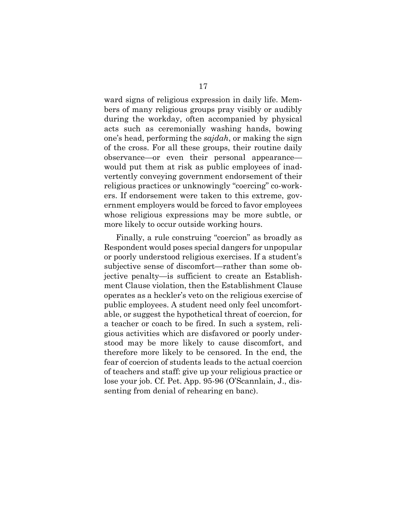ward signs of religious expression in daily life. Members of many religious groups pray visibly or audibly during the workday, often accompanied by physical acts such as ceremonially washing hands, bowing one's head, performing the *sajdah*, or making the sign of the cross. For all these groups, their routine daily observance—or even their personal appearance would put them at risk as public employees of inadvertently conveying government endorsement of their religious practices or unknowingly "coercing" co-workers. If endorsement were taken to this extreme, government employers would be forced to favor employees whose religious expressions may be more subtle, or more likely to occur outside working hours.

Finally, a rule construing "coercion" as broadly as Respondent would poses special dangers for unpopular or poorly understood religious exercises. If a student's subjective sense of discomfort—rather than some objective penalty—is sufficient to create an Establishment Clause violation, then the Establishment Clause operates as a heckler's veto on the religious exercise of public employees. A student need only feel uncomfortable, or suggest the hypothetical threat of coercion, for a teacher or coach to be fired. In such a system, religious activities which are disfavored or poorly understood may be more likely to cause discomfort, and therefore more likely to be censored. In the end, the fear of coercion of students leads to the actual coercion of teachers and staff: give up your religious practice or lose your job. Cf. Pet. App. 95-96 (O'Scannlain, J., dissenting from denial of rehearing en banc).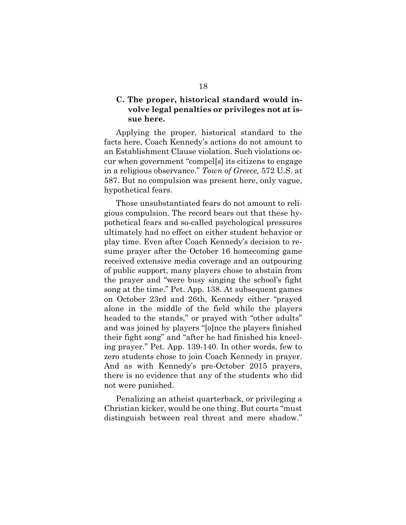## **C. The proper, historical standard would involve legal penalties or privileges not at issue here.**

Applying the proper, historical standard to the facts here, Coach Kennedy's actions do not amount to an Establishment Clause violation. Such violations occur when government "compel[s] its citizens to engage in a religious observance." *Town of Greece,* 572 U.S. at 587. But no compulsion was present here, only vague, hypothetical fears.

Those unsubstantiated fears do not amount to religious compulsion. The record bears out that these hypothetical fears and so-called psychological pressures ultimately had no effect on either student behavior or play time. Even after Coach Kennedy's decision to resume prayer after the October 16 homecoming game received extensive media coverage and an outpouring of public support, many players chose to abstain from the prayer and "were busy singing the school's fight song at the time." Pet. App. 138. At subsequent games on October 23rd and 26th, Kennedy either "prayed alone in the middle of the field while the players headed to the stands," or prayed with "other adults" and was joined by players "[o]nce the players finished their fight song" and "after he had finished his kneeling prayer." Pet. App. 139-140. In other words, few to zero students chose to join Coach Kennedy in prayer. And as with Kennedy's pre-October 2015 prayers, there is no evidence that any of the students who did not were punished.

Penalizing an atheist quarterback, or privileging a Christian kicker, would be one thing. But courts "must distinguish between real threat and mere shadow."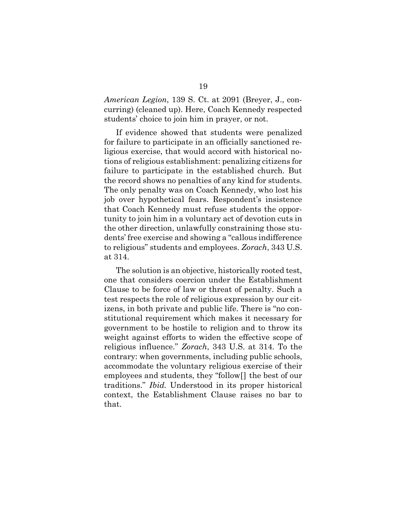*American Legion*, 139 S. Ct. at 2091 (Breyer, J., concurring) (cleaned up). Here, Coach Kennedy respected students' choice to join him in prayer, or not.

If evidence showed that students were penalized for failure to participate in an officially sanctioned religious exercise, that would accord with historical notions of religious establishment: penalizing citizens for failure to participate in the established church. But the record shows no penalties of any kind for students. The only penalty was on Coach Kennedy, who lost his job over hypothetical fears. Respondent's insistence that Coach Kennedy must refuse students the opportunity to join him in a voluntary act of devotion cuts in the other direction, unlawfully constraining those students' free exercise and showing a "callous indifference to religious" students and employees. *Zorach*, 343 U.S. at 314.

The solution is an objective, historically rooted test, one that considers coercion under the Establishment Clause to be force of law or threat of penalty. Such a test respects the role of religious expression by our citizens, in both private and public life. There is "no constitutional requirement which makes it necessary for government to be hostile to religion and to throw its weight against efforts to widen the effective scope of religious influence." *Zorach*, 343 U.S. at 314*.* To the contrary: when governments, including public schools, accommodate the voluntary religious exercise of their employees and students, they "follow[] the best of our traditions." *Ibid.* Understood in its proper historical context, the Establishment Clause raises no bar to that.